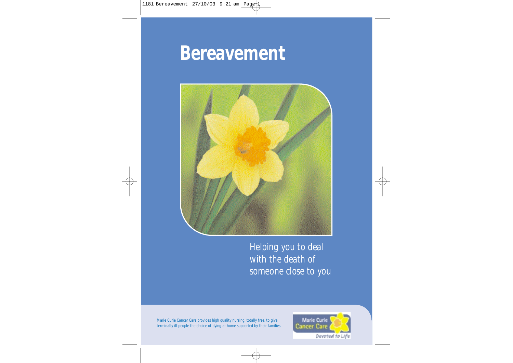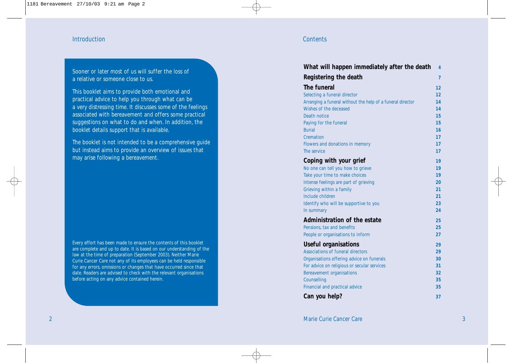# **Introduction**

Sooner or later most of us will suffer the loss of a relative or someone close to us.

This booklet aims to provide both emotional and practical advice to help you through what can be a very distressing time. It discusses some of the feelings associated with bereavement and offers some practical suggestions on what to do and when. In addition, the booklet details support that is available.

The booklet is not intended to be a comprehensive guide but instead aims to provide an overview of issues that may arise following a bereavement.

Every effort has been made to ensure the contents of this booklet are complete and up to date. It is based on our understanding of the law at the time of preparation (September 2003). Neither Marie Curie Cancer Care not any of its employees can be held responsible for any errors, omissions or changes that have occurred since that date. Readers are advised to check with the relevant organisations before acting on any advice contained herein.

## **Contents**

| What will happen immediately after the death               | 4  |
|------------------------------------------------------------|----|
| Registering the death                                      | 7  |
| The funeral                                                | 12 |
| Selecting a funeral director                               | 12 |
| Arranging a funeral without the help of a funeral director | 14 |
| Wishes of the deceased                                     | 14 |
| Death notice                                               | 15 |
| Paying for the funeral                                     | 15 |
| <b>Burial</b>                                              | 16 |
| Cremation                                                  | 17 |
| Flowers and donations in memory                            | 17 |
| The service                                                | 17 |
| Coping with your grief                                     | 19 |
| No one can tell you how to grieve                          | 19 |
| Take your time to make choices                             | 19 |
| Intense feelings are part of grieving                      | 20 |
| Grieving within a family                                   | 21 |
| Include children                                           | 21 |
| Identify who will be supportive to you                     | 23 |
| In summary                                                 | 24 |
| Administration of the estate                               | 25 |
| Pensions, tax and benefits                                 | 25 |
| People or organisations to inform                          | 27 |
| Useful organisations                                       | 29 |
| Associations of funeral directors                          | 29 |
| Organisations offering advice on funerals                  | 30 |
| For advice on religious or secular services                | 31 |
| Bereavement organisations                                  | 32 |
| Counselling                                                | 35 |
| Financial and practical advice                             | 35 |
| Can you help?                                              | 37 |

Marie Curie Cancer Care 3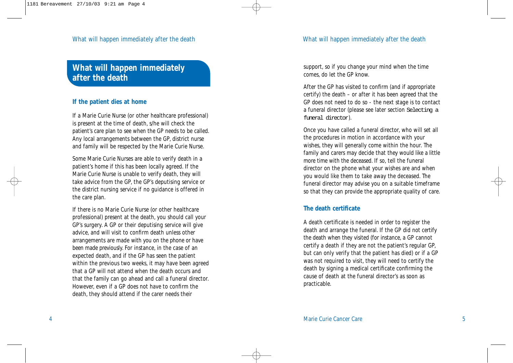# What will happen immediately after the death What will happen immediately after the death

# **What will happen immediately after the death**

### **If the patient dies at home**

If a Marie Curie Nurse (or other healthcare professional) is present at the time of death, s/he will check the patient's care plan to see when the GP needs to be called. Any local arrangements between the GP, district nurse and family will be respected by the Marie Curie Nurse.

Some Marie Curie Nurses are able to verify death in a patient's home if this has been locally agreed. If the Marie Curie Nurse is unable to verify death, they will take advice from the GP, the GP's deputising service or the district nursing service if no guidance is offered in the care plan.

If there is no Marie Curie Nurse (or other healthcare professional) present at the death, you should call your GP's surgery. A GP or their deputising service will give advice, and will visit to confirm death unless other arrangements are made with you on the phone or have been made previously. For instance, in the case of an expected death, and if the GP has seen the patient within the previous two weeks, it may have been agreed that a GP will not attend when the death occurs and that the family can go ahead and call a funeral director. However, even if a GP does not have to confirm the death, they should attend if the carer needs their

support, so if you change your mind when the time comes, do let the GP know.

After the GP has visited to confirm (and if appropriate certify) the death – or after it has been agreed that the GP does not need to do so - the next stage is to contact a funeral director (please see later section Selecting a funeral director).

Once you have called a funeral director, who will set all the procedures in motion in accordance with your wishes, they will generally come within the hour. The family and carers may decide that they would like a little more time with the deceased. If so, tell the funeral director on the phone what your wishes are and when you would like them to take away the deceased. The funeral director may advise you on a suitable timeframe so that they can provide the appropriate quality of care.

### **The death certificate**

A death certificate is needed in order to register the death and arrange the funeral. If the GP did not certify the death when they visited (for instance, a GP cannot certify a death if they are not the patient's regular GP, but can only verify that the patient has died) or if a GP was not required to visit, they will need to certify the death by signing a medical certificate confirming the cause of death at the funeral director's as soon as practicable.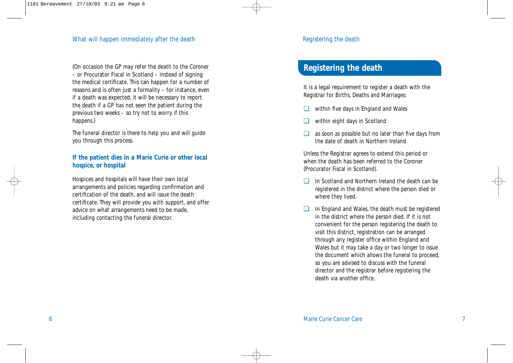## What will happen immediately after the death Registering the death Registering the death

(On occasion the GP may refer the death to the Coroner – or Procurator Fiscal in Scotland – instead of signing the medical certificate. This can happen for a number of reasons and is often just a formality – for instance, even if a death was expected, it will be necessary to report the death if a GP has not seen the patient during the previous two weeks – so try not to worry if this happens.)

The funeral director is there to help you and will guide you through this process.

# **If the patient dies in a Marie Curie or other local hospice, or hospital**

Hospices and hospitals will have their own local arrangements and policies regarding confirmation and certification of the death, and will issue the death certificate. They will provide you with support, and offer advice on what arrangements need to be made, including contacting the funeral director.

# **Registering the death**

It is a legal requirement to register a death with the Registrar for Births, Deaths and Marriages:

- ❏ within five days in England and Wales
- ❏ within eight days in Scotland
- ❏ as soon as possible but no later than five days from the date of death in Northern Ireland

Unless the Registrar agrees to extend this period or when the death has been referred to the Coroner (Procurator Fiscal in Scotland).

- ❏ In Scotland and Northern Ireland the death can be registered in the district where the person died or where they lived.
- ❏ In England and Wales, the death must be registered in the district where the person died. If it is not convenient for the person registering the death to visit this district, registration can be arranged through any register office within England and Wales but it may take a day or two longer to issue the document which allows the funeral to proceed, so you are advised to discuss with the funeral director and the registrar before registering the death via another office.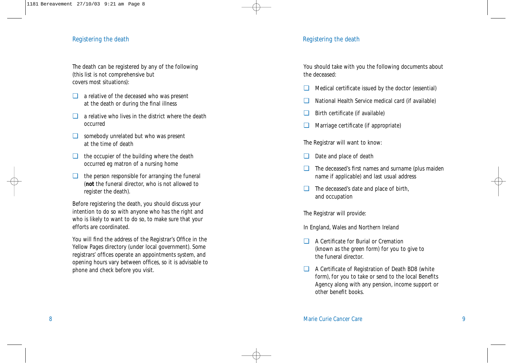# Registering the death Registering the death Registering the death Registering the death

The death can be registered by any of the following (this list is not comprehensive but covers most situations):

- ❏ a relative of the deceased who was present at the death or during the final illness
- ❏ a relative who lives in the district where the death occurred
- ❏ somebody unrelated but who was present at the time of death
- ❏ the occupier of the building where the death occurred eg matron of a nursing home
- ❏ the person responsible for arranging the funeral (**not** the funeral director, who is not allowed to register the death).

Before registering the death, you should discuss your intention to do so with anyone who has the right and who is likely to want to do so, to make sure that your efforts are coordinated.

You will find the address of the Registrar's Office in the Yellow Pages directory (under local government). Some registrars' offices operate an appointments system, and opening hours vary between offices, so it is advisable to phone and check before you visit.

You should take with you the following documents about the deceased:

- ❏ Medical certificate issued by the doctor (essential)
- ❏ National Health Service medical card (if available)
- ❏ Birth certificate (if available)
- ❏ Marriage certificate (if appropriate)

The Registrar will want to know:

- ❏ Date and place of death
- ❏ The deceased's first names and surname (plus maiden name if applicable) and last usual address
- ❏ The deceased's date and place of birth, and occupation

The Registrar will provide:

In England, Wales and Northern Ireland

- ❏ A Certificate for Burial or Cremation (known as the green form) for you to give to the funeral director.
- ❏ A Certificate of Registration of Death BD8 (white form), for you to take or send to the local Benefits Agency along with any pension, income support or other benefit books.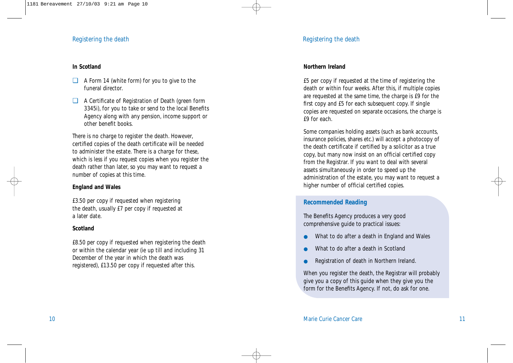# Registering the death Registering the death Registering the death Registering the death

### **In Scotland**

- ❏ A Form 14 (white form) for you to give to the funeral director.
- ❏ A Certificate of Registration of Death (green form 3345i), for you to take or send to the local Benefits Agency along with any pension, income support or other benefit books.

There is no charge to register the death. However, certified copies of the death certificate will be needed to administer the estate. There is a charge for these, which is less if you request copies when you register the death rather than later, so you may want to request a number of copies at this time.

#### **England and Wales**

£3.50 per copy if requested when registering the death, usually £7 per copy if requested at a later date.

### **Scotland**

£8.50 per copy if requested when registering the death or within the calendar year (ie up till and including 31 December of the year in which the death was registered), £13.50 per copy if requested after this.

### **Northern Ireland**

£5 per copy if requested at the time of registering the death or within four weeks. After this, if multiple copies are requested at the same time, the charge is £9 for the first copy and £5 for each subsequent copy. If single copies are requested on separate occasions, the charge is £9 for each.

Some companies holding assets (such as bank accounts, insurance policies, shares etc.) will accept a photocopy of the death certificate if certified by a solicitor as a true copy, but many now insist on an official certified copy from the Registrar. If you want to deal with several assets simultaneously in order to speed up the administration of the estate, you may want to request a higher number of official certified copies.

# **Recommended Reading**

The Benefits Agency produces a very good comprehensive guide to practical issues:

- What to do after a death in England and Wales
- What to do after a death in Scotland
- Registration of death in Northern Ireland.

When you register the death, the Registrar will probably give you a copy of this guide when they give you the form for the Benefits Agency. If not, do ask for one.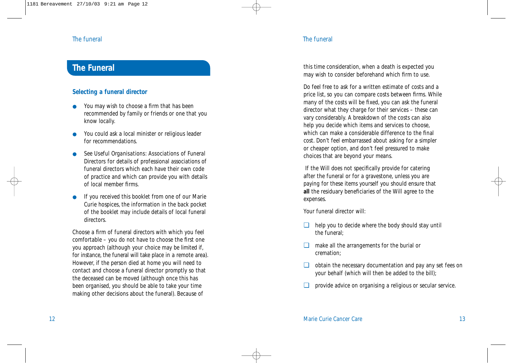# **The Funeral**

## **Selecting a funeral director**

- You may wish to choose a firm that has been recommended by family or friends or one that you know locally.
- You could ask a local minister or religious leader for recommendations.
- See *Useful Organisations: Associations of Funeral Directors* for details of professional associations of funeral directors which each have their own code of practice and which can provide you with details of local member firms.
- If you received this booklet from one of our Marie Curie hospices, the information in the back pocket of the booklet may include details of local funeral directors.

Choose a firm of funeral directors with which you feel comfortable – you do not have to choose the first one you approach (although your choice may be limited if, for instance, the funeral will take place in a remote area). However, if the person died at home you will need to contact and choose a funeral director promptly so that the deceased can be moved (although once this has been organised, you should be able to take your time making other decisions about the funeral). Because of

The funeral The funeral The structure of the structure of the funeral The funeral

this time consideration, when a death is expected you may wish to consider beforehand which firm to use.

Do feel free to ask for a written estimate of costs and a price list, so you can compare costs between firms. While many of the costs will be fixed, you can ask the funeral director what they charge for their services – these can vary considerably. A breakdown of the costs can also help you decide which items and services to choose, which can make a considerable difference to the final cost. Don't feel embarrassed about asking for a simpler or cheaper option, and don't feel pressured to make choices that are beyond your means.

If the Will does not specifically provide for catering after the funeral or for a gravestone, unless you are paying for these items yourself you should ensure that **all** the residuary beneficiaries of the Will agree to the expenses.

Your funeral director will:

- ❏ help you to decide where the body should stay until the funeral;
- ❏ make all the arrangements for the burial or cremation;
- ❏ obtain the necessary documentation and pay any set fees on your behalf (which will then be added to the bill);
- ❏ provide advice on organising a religious or secular service.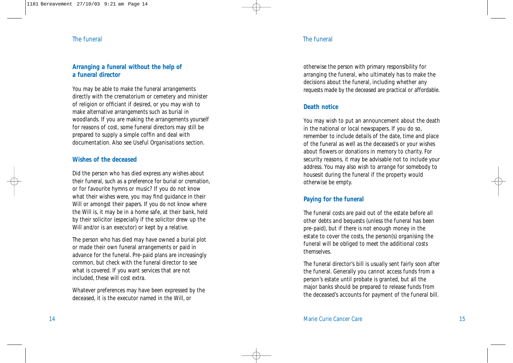# **Arranging a funeral without the help of a funeral director**

You may be able to make the funeral arrangements directly with the crematorium or cemetery and minister of religion or officiant if desired, or you may wish to make alternative arrangements such as burial in woodlands. If you are making the arrangements yourself for reasons of cost, some funeral directors may still be prepared to supply a simple coffin and deal with documentation. Also see *Useful Organisations* section.

# **Wishes of the deceased**

Did the person who has died express any wishes about their funeral, such as a preference for burial or cremation, or for favourite hymns or music? If you do not know what their wishes were, you may find guidance in their Will or amongst their papers. If you do not know where the Will is, it may be in a home safe, at their bank, held by their solicitor (especially if the solicitor drew up the Will and/or is an executor) or kept by a relative.

The person who has died may have owned a burial plot or made their own funeral arrangements or paid in advance for the funeral. Pre-paid plans are increasingly common, but check with the funeral director to see what is covered. If you want services that are not included, these will cost extra.

Whatever preferences may have been expressed by the deceased, it is the executor named in the Will, or

### The funeral The funeral The structure of the structure of the funeral The funeral

otherwise the person with primary responsibility for arranging the funeral, who ultimately has to make the decisions about the funeral, including whether any requests made by the deceased are practical or affordable.

### **Death notice**

You may wish to put an announcement about the death in the national or local newspapers. If you do so, remember to include details of the date, time and place of the funeral as well as the deceased's or your wishes about flowers or donations in memory to charity. For security reasons, it may be advisable not to include your address. You may also wish to arrange for somebody to housesit during the funeral if the property would otherwise be empty.

# **Paying for the funeral**

The funeral costs are paid out of the estate before all other debts and bequests (unless the funeral has been pre-paid), but if there is not enough money in the estate to cover the costs, the person(s) organising the funeral will be obliged to meet the additional costs themselves.

The funeral director's bill is usually sent fairly soon after the funeral. Generally you cannot access funds from a person's estate until probate is granted, but all the major banks should be prepared to release funds from the deceased's accounts for payment of the funeral bill.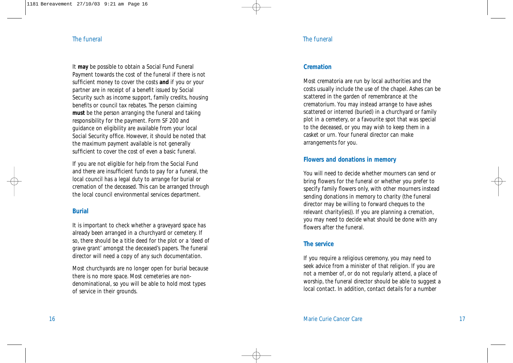It **may** be possible to obtain a Social Fund Funeral Payment towards the cost of the funeral if there is not sufficient money to cover the costs **and** if you or your partner are in receipt of a benefit issued by Social Security such as income support, family credits, housing benefits or council tax rebates. The person claiming **must** be the person arranging the funeral and taking responsibility for the payment. Form SF 200 and guidance on eligibility are available from your local Social Security office. However, it should be noted that the maximum payment available is not generally sufficient to cover the cost of even a basic funeral.

If you are not eligible for help from the Social Fund and there are insufficient funds to pay for a funeral, the local council has a legal duty to arrange for burial or cremation of the deceased. This can be arranged through the local council environmental services department.

# **Burial**

It is important to check whether a graveyard space has already been arranged in a churchyard or cemetery. If so, there should be a title deed for the plot or a 'deed of grave grant' amongst the deceased's papers. The funeral director will need a copy of any such documentation.

Most churchyards are no longer open for burial because there is no more space. Most cemeteries are nondenominational, so you will be able to hold most types of service in their grounds.

### The funeral The funeral The structure of the structure of the funeral The funeral

#### **Cremation**

Most crematoria are run by local authorities and the costs usually include the use of the chapel. Ashes can be scattered in the garden of remembrance at the crematorium. You may instead arrange to have ashes scattered or interred (buried) in a churchyard or family plot in a cemetery, or a favourite spot that was special to the deceased, or you may wish to keep them in a casket or urn. Your funeral director can make arrangements for you.

# **Flowers and donations in memory**

You will need to decide whether mourners can send or bring flowers for the funeral or whether you prefer to specify family flowers only, with other mourners instead sending donations in memory to charity (the funeral director may be willing to forward cheques to the relevant charity(ies)). If you are planning a cremation, you may need to decide what should be done with any flowers after the funeral.

### **The service**

If you require a religious ceremony, you may need to seek advice from a minister of that religion. If you are not a member of, or do not regularly attend, a place of worship, the funeral director should be able to suggest a local contact. In addition, contact details for a number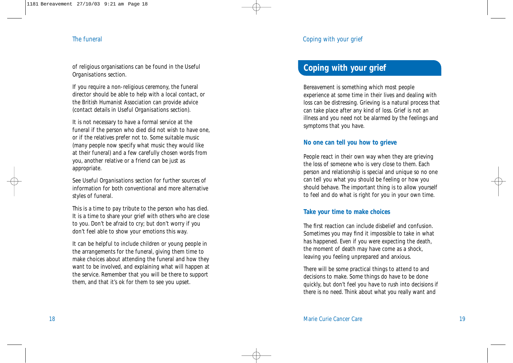of religious organisations can be found in the *Useful Organisations* section.

If you require a non-religious ceremony, the funeral director should be able to help with a local contact, or the British Humanist Association can provide advice (contact details in *Useful Organisations* section).

It is not necessary to have a formal service at the funeral if the person who died did not wish to have one, or if the relatives prefer not to. Some suitable music (many people now specify what music they would like at their funeral) and a few carefully chosen words from you, another relative or a friend can be just as appropriate.

See *Useful Organisations* section for further sources of information for both conventional and more alternative styles of funeral.

This is a time to pay tribute to the person who has died. It is a time to share your grief with others who are close to you. Don't be afraid to cry; but don't worry if you don't feel able to show your emotions this way.

It can be helpful to include children or young people in the arrangements for the funeral, giving them time to make choices about attending the funeral and how they want to be involved, and explaining what will happen at the service. Remember that you will be there to support them, and that it's ok for them to see you upset.

# The funeral coping with your grief

# **Coping with your grief**

Bereavement is something which most people experience at some time in their lives and dealing with loss can be distressing. Grieving is a natural process that can take place after any kind of loss. Grief is not an illness and you need not be alarmed by the feelings and symptoms that you have.

## **No one can tell you how to grieve**

People react in their own way when they are grieving the loss of someone who is very close to them. Each person and relationship is special and unique so no one can tell you what you should be feeling or how you should behave. The important thing is to allow yourself to feel and do what is right for you in your own time.

# **Take your time to make choices**

The first reaction can include disbelief and confusion. Sometimes you may find it impossible to take in what has happened. Even if you were expecting the death, the moment of death may have come as a shock, leaving you feeling unprepared and anxious.

There will be some practical things to attend to and decisions to make. Some things do have to be done quickly, but don't feel you have to rush into decisions if there is no need. Think about what you really want and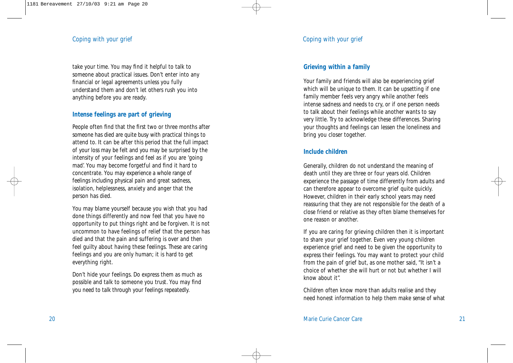# Coping with your grief Coping with your grief

take your time. You may find it helpful to talk to someone about practical issues. Don't enter into any financial or legal agreements unless you fully understand them and don't let others rush you into anything before you are ready.

# **Intense feelings are part of grieving**

People often find that the first two or three months after someone has died are quite busy with practical things to attend to. It can be after this period that the full impact of your loss may be felt and you may be surprised by the intensity of your feelings and feel as if you are 'going mad'. You may become forgetful and find it hard to concentrate. You may experience a whole range of feelings including physical pain and great sadness, isolation, helplessness, anxiety and anger that the person has died.

You may blame yourself because you wish that you had done things differently and now feel that you have no opportunity to put things right and be forgiven. It is not uncommon to have feelings of relief that the person has died and that the pain and suffering is over and then feel guilty about having these feelings. These are caring feelings and you are only human; it is hard to get everything right.

Don't hide your feelings. Do express them as much as possible and talk to someone you trust. You may find you need to talk through your feelings repeatedly.

# **Grieving within a family**

Your family and friends will also be experiencing grief which will be unique to them. It can be upsetting if one family member feels very angry while another feels intense sadness and needs to cry, or if one person needs to talk about their feelings while another wants to say very little. Try to acknowledge these differences. Sharing your thoughts and feelings can lessen the loneliness and bring you closer together.

## **Include children**

Generally, children do not understand the meaning of death until they are three or four years old. Children experience the passage of time differently from adults and can therefore appear to overcome grief quite quickly. However, children in their early school years may need reassuring that they are not responsible for the death of a close friend or relative as they often blame themselves for one reason or another.

If you are caring for grieving children then it is important to share your grief together. Even very young children experience grief and need to be given the opportunity to express their feelings. You may want to protect your child from the pain of grief but, as one mother said, "It isn't a choice of whether she will hurt or not but whether I will know about it".

Children often know more than adults realise and they need honest information to help them make sense of what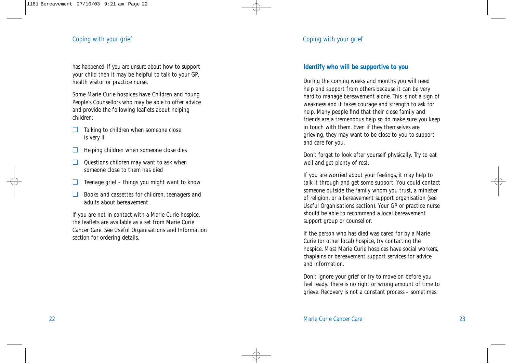# Coping with your grief Coping with your grief

has happened. If you are unsure about how to support your child then it may be helpful to talk to your GP, health visitor or practice nurse.

Some Marie Curie hospices have Children and Young People's Counsellors who may be able to offer advice and provide the following leaflets about helping children:

- ❏ *Talking to children when someone close is very ill*
- ❏ *Helping children when someone close dies*
- ❏ *Questions children may want to ask when someone close to them has died*
- ❏ *Teenage grief things you might want to know*
- ❏ *Books and cassettes for children, teenagers and adults about bereavement*

If you are not in contact with a Marie Curie hospice, the leaflets are available as a set from Marie Curie Cancer Care. See *Useful Organisations and Information* section for ordering details.

# **Identify who will be supportive to you**

During the coming weeks and months you will need help and support from others because it can be very hard to manage bereavement alone. This is not a sign of weakness and it takes courage and strength to ask for help. Many people find that their close family and friends are a tremendous help so do make sure you keep in touch with them. Even if they themselves are grieving, they may want to be close to you to support and care for you.

Don't forget to look after yourself physically. Try to eat well and get plenty of rest.

If you are worried about your feelings, it may help to talk it through and get some support. You could contact someone outside the family whom you trust, a minister of religion, or a bereavement support organisation (see *Useful Organisations* section). Your GP or practice nurse should be able to recommend a local bereavement support group or counsellor.

If the person who has died was cared for by a Marie Curie (or other local) hospice, try contacting the hospice. Most Marie Curie hospices have social workers, chaplains or bereavement support services for advice and information.

Don't ignore your grief or try to move on before you feel ready. There is no right or wrong amount of time to grieve. Recovery is not a constant process – sometimes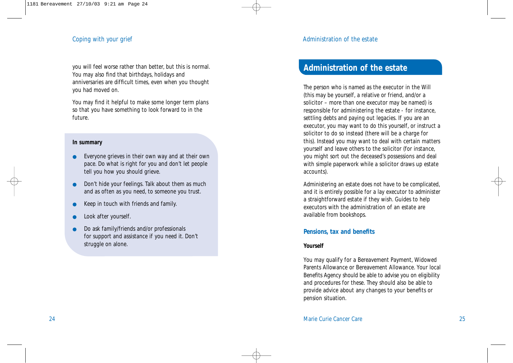you will feel worse rather than better, but this is normal. You may also find that birthdays, holidays and anniversaries are difficult times, even when you thought you had moved on.

You may find it helpful to make some longer term plans so that you have something to look forward to in the future.

#### **In summary**

- Everyone grieves in their own way and at their own pace. Do what is right for you and don't let people tell you how you should grieve.
- Don't hide your feelings. Talk about them as much and as often as you need, to someone you trust.
- Keep in touch with friends and family.
- Look after yourself.
- Do ask family/friends and/or professionals for support and assistance if you need it. Don't struggle on alone.

# Coping with your grief Coping With Your grief Administration of the estate

# **Administration of the estate**

The person who is named as the executor in the Will (this may be yourself, a relative or friend, and/or a solicitor – more than one executor may be named) is responsible for administering the estate - for instance, settling debts and paying out legacies. If you are an executor, you may want to do this yourself, or instruct a solicitor to do so instead (there will be a charge for this). Instead you may want to deal with certain matters yourself and leave others to the solicitor (for instance, you might sort out the deceased's possessions and deal with simple paperwork while a solicitor draws up estate accounts).

Administering an estate does not have to be complicated, and it is entirely possible for a lay executor to administer a straightforward estate if they wish. Guides to help executors with the administration of an estate are available from bookshops.

# **Pensions, tax and benefits**

#### **Yourself**

You may qualify for a Bereavement Payment, Widowed Parents Allowance or Bereavement Allowance. Your local Benefits Agency should be able to advise you on eligibility and procedures for these. They should also be able to provide advice about any changes to your benefits or pension situation.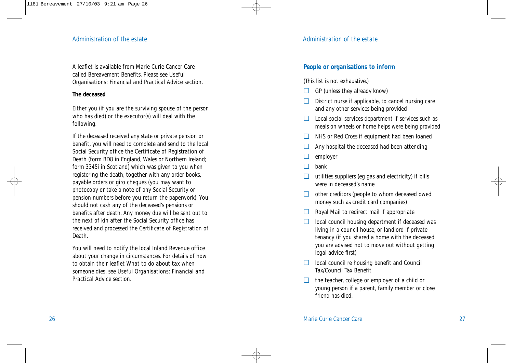## Administration of the estate Administration of the estate Administration of the estate

A leaflet is available from Marie Curie Cancer Care called Bereavement Benefits. Please see *Useful Organisations: Financial and Practical Advice* section.

#### **The deceased**

Either you (if you are the surviving spouse of the person who has died) or the executor(s) will deal with the following.

If the deceased received any state or private pension or benefit, you will need to complete and send to the local Social Security office the Certificate of Registration of Death (form BD8 in England, Wales or Northern Ireland; form 3345i in Scotland) which was given to you when registering the death, together with any order books, payable orders or giro cheques (you may want to photocopy or take a note of any Social Security or pension numbers before you return the paperwork). You should not cash any of the deceased's pensions or benefits after death. Any money due will be sent out to the next of kin after the Social Security office has received and processed the Certificate of Registration of Death.

You will need to notify the local Inland Revenue office about your change in circumstances. For details of how to obtain their leaflet *What to do about tax when someone dies*, see *Useful Organisations: Financial and Practical Advice* section.

# **People or organisations to inform**

(This list is not exhaustive.)

- ❏ GP (unless they already know)
- ❏ District nurse if applicable, to cancel nursing care and any other services being provided
- ❏ Local social services department if services such as meals on wheels or home helps were being provided
- ❏ NHS or Red Cross if equipment had been loaned
- ❏ Any hospital the deceased had been attending
- ❏ employer
- ❏ bank
- ❏ utilities suppliers (eg gas and electricity) if bills were in deceased's name
- ❏ other creditors (people to whom deceased owed money such as credit card companies)
- ❏ Royal Mail to redirect mail if appropriate
- local council housing department if deceased was living in a council house, or landlord if private tenancy (if you shared a home with the deceased you are advised not to move out without getting legal advice first)
- ❏ local council re housing benefit and Council Tax/Council Tax Benefit
- ❏ the teacher, college or employer of a child or young person if a parent, family member or close friend has died.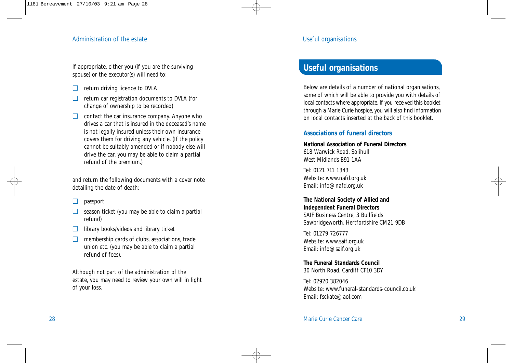# Administration of the estate **Network Construction** Change Useful organisations **Useful organisations**

If appropriate, either you (if you are the surviving spouse) or the executor(s) will need to:

- ❏ return driving licence to DVLA
- ❏ return car registration documents to DVLA (for change of ownership to be recorded)
- ❏ contact the car insurance company. Anyone who drives a car that is insured in the deceased's name is not legally insured unless their own insurance covers them for driving any vehicle. (If the policy cannot be suitably amended or if nobody else will drive the car, you may be able to claim a partial refund of the premium.)

and return the following documents with a cover note detailing the date of death:

- ❏ passport
- ❏ season ticket (you may be able to claim a partial refund)
- ❏ library books/videos and library ticket
- ❏ membership cards of clubs, associations, trade union etc. (you may be able to claim a partial refund of fees).

Although not part of the administration of the estate, you may need to review your own will in light of your loss.

# **Useful organisations**

Below are details of a number of national organisations, some of which will be able to provide you with details of local contacts where appropriate. If you received this booklet through a Marie Curie hospice, you will also find information on local contacts inserted at the back of this booklet.

### **Associations of funeral directors**

**National Association of Funeral Directors**  618 Warwick Road, Solihull West Midlands B91 1AA

Tel: 0121 711 1343 Website: www.nafd.org.uk Email: info@nafd.org.uk

**The National Society of Allied and Independent Funeral Directors** SAIF Business Centre, 3 Bullfields Sawbridgeworth, Hertfordshire CM21 9DB

Tel: 01279 726777 Website: www.saif.org.uk Email: info@saif.org.uk

**The Funeral Standards Council**  30 North Road, Cardiff CF10 3DY

Tel: 02920 382046 Website: www.funeral-standards-council.co.uk Email: fsckate@aol.com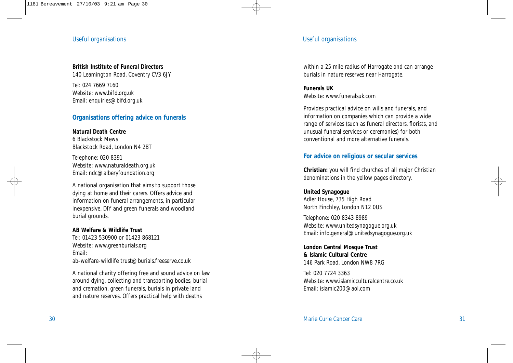## Useful organisations Useful organisations

**British Institute of Funeral Directors**  140 Leamington Road, Coventry CV3 6JY

Tel: 024 7669 7160 Website: www.bifd.org.uk Email: enquiries@bifd.org.uk

### **Organisations offering advice on funerals**

**Natural Death Centre** 6 Blackstock Mews Blackstock Road, London N4 2BT

Telephone: 020 8391 Website: www.naturaldeath.org.uk Email: ndc@alberyfoundation.org

A national organisation that aims to support those dying at home and their carers. Offers advice and information on funeral arrangements, in particular inexpensive, DIY and green funerals and woodland burial grounds.

**AB Welfare & Wildlife Trust** Tel: 01423 530900 or 01423 868121 Website: www.greenburials.org Email: ab-welfare-wildlife trust@burials.freeserve.co.uk

A national charity offering free and sound advice on law around dying, collecting and transporting bodies, burial and cremation, green funerals, burials in private land and nature reserves. Offers practical help with deaths

within a 25 mile radius of Harrogate and can arrange burials in nature reserves near Harrogate.

**Funerals UK** Website: www.funeralsuk.com

Provides practical advice on wills and funerals, and information on companies which can provide a wide range of services (such as funeral directors, florists, and unusual funeral services or ceremonies) for both conventional and more alternative funerals.

### **For advice on religious or secular services**

**Christian:** you will find churches of all major Christian denominations in the yellow pages directory.

**United Synagogue** Adler House, 735 High Road North Finchley, London N12 0US

Telephone: 020 8343 8989 Website: www.unitedsynagogue.org.uk Email: info.general@unitedsynagogue.org.uk

**London Central Mosque Trust & Islamic Cultural Centre** 146 Park Road, London NW8 7RG

Tel: 020 7724 3363 Website: www.islamicculturalcentre.co.uk Email: islamic200@aol.com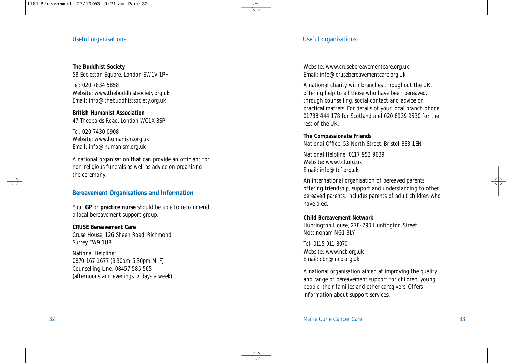## Useful organisations Useful organisations

**The Buddhist Society** 58 Eccleston Square, London SW1V 1PH

Tel: 020 7834 5858 Website: www.thebuddhistsociety.org.uk Email: info@thebuddhistsociety.org.uk

**British Humanist Association** 47 Theobalds Road, London WC1X 8SP

Tel: 020 7430 0908 Website: www.humanism.org.uk Email: info@humanism.org.uk

A national organisation that can provide an officiant for non-religious funerals as well as advice on organising the ceremony.

### **Bereavement Organisations and Information**

Your **GP** or **practice nurse** should be able to recommend a local bereavement support group.

**CRUSE Bereavement Care** Cruse House, 126 Sheen Road, Richmond Surrey TW9 1UR

National Helpline: 0870 167 1677 (9.30am-5.30pm M-F) Counselling Line: 08457 585 565 (afternoons and evenings, 7 days a week)

Website: www.crusebereavementcare.org.uk Email: info@crusebereavementcare.org.uk

A national charity with branches throughout the UK, offering help to all those who have been bereaved, through counselling, social contact and advice on practical matters. For details of your local branch phone 01738 444 178 for Scotland and 020 8939 9530 for the rest of the UK.

**The Compassionate Friends**  National Office, 53 North Street, Bristol BS3 1EN

National Helpline: 0117 953 9639 Website: www.tcf.org.uk Email: info@tcf.org.uk

An international organisation of bereaved parents offering friendship, support and understanding to other bereaved parents. Includes parents of adult children who have died.

**Child Bereavement Network** Huntington House, 278-290 Huntington Street Nottingham NG1 3LY

Tel: 0115 911 8070 Website: www.ncb.org.uk Email: cbn@ncb.org.uk

A national organisation aimed at improving the quality and range of bereavement support for children, young people, their families and other caregivers. Offers information about support services.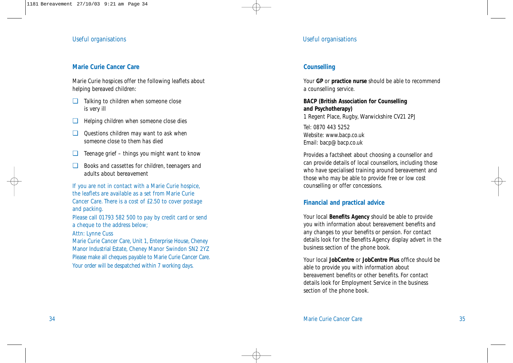## **Marie Curie Cancer Care**

Marie Curie hospices offer the following leaflets about helping bereaved children:

- ❏ *Talking to children when someone close is very ill*
- ❏ *Helping children when someone close dies*
- ❏ *Questions children may want to ask when someone close to them has died*
- ❏ *Teenage grief things you might want to know*
- ❏ *Books and cassettes for children, teenagers and adults about bereavement*

If you are not in contact with a Marie Curie hospice, the leaflets are available as a set from Marie Curie Cancer Care. There is a cost of £2.50 to cover postage and packing.

Please call 01793 582 500 to pay by credit card or send a cheque to the address below;

#### Attn: Lynne Cuss

Marie Curie Cancer Care, Unit 1, Enterprise House, Cheney Manor Industrial Estate, Cheney Manor Swindon SN2 2YZ Please make all cheques payable to Marie Curie Cancer Care. Your order will be despatched within 7 working days.

# Useful organisations Useful organisations

# **Counselling**

Your **GP** or **practice nurse** should be able to recommend a counselling service.

**BACP (British Association for Counselling and Psychotherapy)** 1 Regent Place, Rugby, Warwickshire CV21 2PJ

Tel: 0870 443 5252 Website: www.bacp.co.uk Email: bacp@bacp.co.uk

Provides a factsheet about choosing a counsellor and can provide details of local counsellors, including those who have specialised training around bereavement and those who may be able to provide free or low cost counselling or offer concessions.

## **Financial and practical advice**

Your local **Benefits Agency** should be able to provide you with information about bereavement benefits and any changes to your benefits or pension. For contact details look for the Benefits Agency display advert in the business section of the phone book.

Your local **JobCentre** or **JobCentre Plus** office should be able to provide you with information about bereavement benefits or other benefits. For contact details look for Employment Service in the business section of the phone book.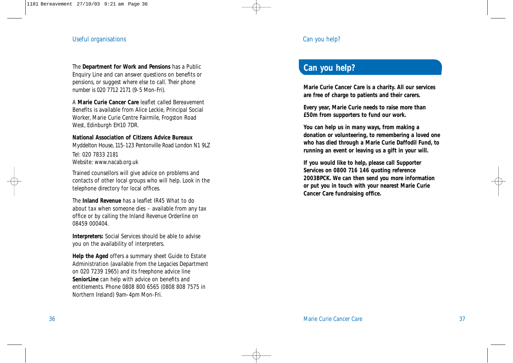### Useful organisations Can you help?

The **Department for Work and Pensions** has a Public Enquiry Line and can answer questions on benefits or pensions, or suggest where else to call. Their phone number is 020 7712 2171 (9-5 Mon-Fri).

A **Marie Curie Cancer Care** leaflet called *Bereavement Benefits* is available from Alice Leckie, Principal Social Worker, Marie Curie Centre Fairmile, Frogston Road West, Edinburgh EH10 7DR.

#### **National Association of Citizens Advice Bureaux**

Myddelton House, 115-123 Pentonville Road London N1 9LZ Tel: 020 7833 2181 Website: www.nacab.org.uk

Trained counsellors will give advice on problems and contacts of other local groups who will help. Look in the telephone directory for local offices.

The **Inland Revenue** has a leaflet IR45 *What to do about tax when someone dies* – available from any tax office or by calling the Inland Revenue Orderline on 08459 000404.

**Interpreters:** Social Services should be able to advise you on the availability of interpreters.

**Help the Aged** offers a summary sheet *Guide to Estate Administration* (available from the Legacies Department on 020 7239 1965) and its freephone advice line **SeniorLine** can help with advice on benefits and entitlements. Phone 0808 800 6565 (0808 808 7575 in Northern Ireland) 9am-4pm Mon-Fri.

# **Can you help?**

**Marie Curie Cancer Care is a charity. All our services are free of charge to patients and their carers.**

**Every year, Marie Curie needs to raise more than £50m from supporters to fund our work.**

**You can help us in many ways, from making a donation or volunteering, to remembering a loved one who has died through a Marie Curie Daffodil Fund, to running an event or leaving us a gift in your will.**

**If you would like to help, please call Supporter Services on 0800 716 146 quoting reference 2003BPCK. We can then send you more information or put you in touch with your nearest Marie Curie Cancer Care fundraising office.**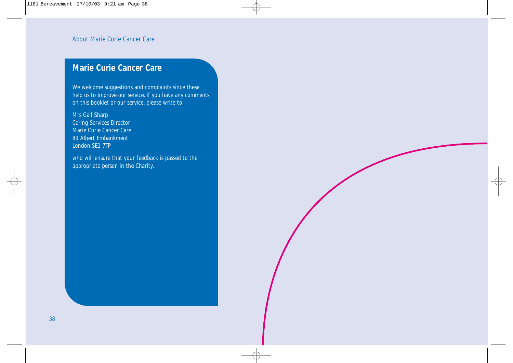# About Marie Curie Cancer Care

# **Marie Curie Cancer Care**

We welcome suggestions and complaints since these help us to improve our service. If you have any comments on this booklet or our service, please write to:

Mrs Gail Sharp Caring Services Director Marie Curie Cancer Care 89 Albert Embankment London SE1 7TP

who will ensure that your feedback is passed to the appropriate person in the Charity.